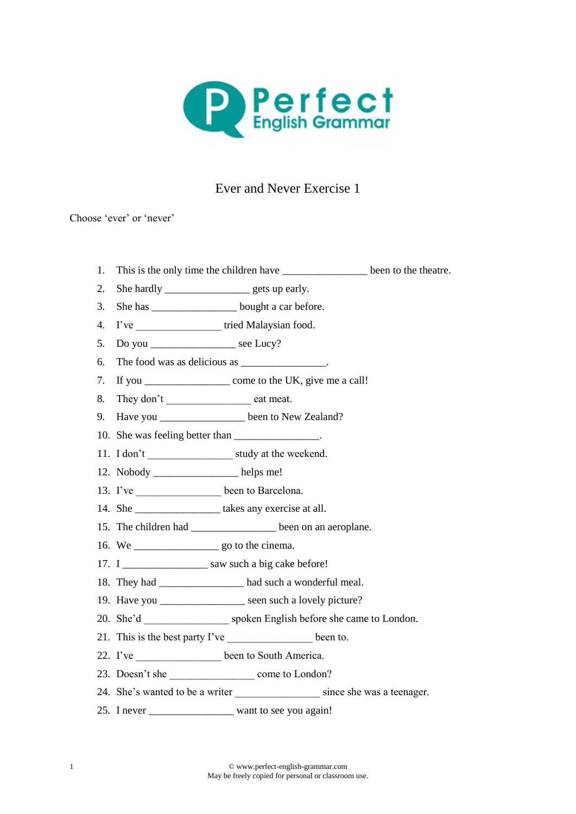

## Ever and Never Exercise 1

Choose 'ever' or 'never'

- 1. This is the only time the children have been to the theatre.
- 2. She hardly <u>example</u> gets up early.
- 3. She has \_\_\_\_\_\_\_\_\_\_\_\_\_\_\_\_\_\_\_bought a car before.
- 4. I've \_\_\_\_\_\_\_\_\_\_\_\_\_\_\_\_\_\_\_\_\_\_\_ tried Malaysian food.
- 5. Do you \_\_\_\_\_\_\_\_\_\_\_\_\_\_\_\_\_\_\_\_ see Lucy?
- 6. The food was as delicious as \_\_\_\_\_\_\_\_\_\_\_\_\_\_.
- 7. If you \_\_\_\_\_\_\_\_\_\_\_\_\_\_\_\_ come to the UK, give me a call!
- 8. They don't \_\_\_\_\_\_\_\_\_\_\_\_\_\_\_\_\_\_\_\_\_\_\_\_ eat meat.
- 9. Have you \_\_\_\_\_\_\_\_\_\_\_\_\_\_\_\_\_ been to New Zealand?
- 10. She was feeling better than
- 11. I don't study at the weekend.
- 12. Nobody \_\_\_\_\_\_\_\_\_\_\_\_\_\_\_\_ helps me!
- 13. I've \_\_\_\_\_\_\_\_\_\_\_\_\_\_\_\_\_\_ been to Barcelona.
- 14. She \_\_\_\_\_\_\_\_\_\_\_\_\_\_\_\_\_\_\_\_\_\_ takes any exercise at all.
- 15. The children had \_\_\_\_\_\_\_\_\_\_\_\_\_\_\_\_\_\_ been on an aeroplane.
- 16. We see also see also see also the cinema.
- 17. I \_\_\_\_\_\_\_\_\_\_\_\_\_\_\_\_\_\_\_ saw such a big cake before!
- 18. They had \_\_\_\_\_\_\_\_\_\_\_\_\_\_\_\_ had such a wonderful meal.
- 19. Have you seen such a lovely picture?
- 20. She'd spoken English before she came to London.
- 21. This is the best party I've been to.
- 22. I've \_\_\_\_\_\_\_\_\_\_\_\_\_\_\_\_ been to South America.
- 23. Doesn't she come to London?
- 24. She's wanted to be a writer since she was a teenager.
- 25. I never want to see you again!